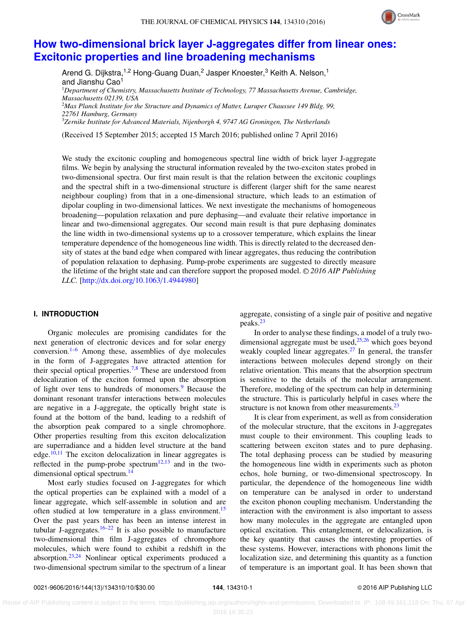

# **[How two-dimensional brick layer J-aggregates differ from linear ones:](http://dx.doi.org/10.1063/1.4944980) [Excitonic properties and line broadening mechanisms](http://dx.doi.org/10.1063/1.4944980)**

Arend G. Dijkstra,<sup>1,2</sup> Hong-Guang Duan,<sup>2</sup> Jasper Knoester,<sup>3</sup> Keith A. Nelson,<sup>1</sup> and Jianshu Cao<sup>1</sup> <sup>1</sup>*Department of Chemistry, Massachusetts Institute of Technology, 77 Massachusetts Avenue, Cambridge,*

*Massachusetts 02139, USA* <sup>2</sup>*Max Planck Institute for the Structure and Dynamics of Matter, Luruper Chaussee 149 Bldg. 99, 22761 Hamburg, Germany* <sup>3</sup>*Zernike Institute for Advanced Materials, Nijenborgh 4, 9747 AG Groningen, The Netherlands*

(Received 15 September 2015; accepted 15 March 2016; published online 7 April 2016)

We study the excitonic coupling and homogeneous spectral line width of brick layer J-aggregate films. We begin by analysing the structural information revealed by the two-exciton states probed in two-dimensional spectra. Our first main result is that the relation between the excitonic couplings and the spectral shift in a two-dimensional structure is different (larger shift for the same nearest neighbour coupling) from that in a one-dimensional structure, which leads to an estimation of dipolar coupling in two-dimensional lattices. We next investigate the mechanisms of homogeneous broadening—population relaxation and pure dephasing—and evaluate their relative importance in linear and two-dimensional aggregates. Our second main result is that pure dephasing dominates the line width in two-dimensional systems up to a crossover temperature, which explains the linear temperature dependence of the homogeneous line width. This is directly related to the decreased density of states at the band edge when compared with linear aggregates, thus reducing the contribution of population relaxation to dephasing. Pump-probe experiments are suggested to directly measure the lifetime of the bright state and can therefore support the proposed model. <sup>C</sup> *2016 AIP Publishing LLC.* [\[http:](http://dx.doi.org/10.1063/1.4944980)//[dx.doi.org](http://dx.doi.org/10.1063/1.4944980)/[10.1063](http://dx.doi.org/10.1063/1.4944980)/[1.4944980\]](http://dx.doi.org/10.1063/1.4944980)

## **I. INTRODUCTION**

Organic molecules are promising candidates for the next generation of electronic devices and for solar energy conversion.[1–](#page-8-0)[6](#page-8-1) Among these, assemblies of dye molecules in the form of J-aggregates have attracted attention for their special optical properties.<sup>[7,](#page-8-2)[8](#page-8-3)</sup> These are understood from delocalization of the exciton formed upon the absorption of light over tens to hundreds of monomers.<sup>[9](#page-8-4)</sup> Because the dominant resonant transfer interactions between molecules are negative in a J-aggregate, the optically bright state is found at the bottom of the band, leading to a redshift of the absorption peak compared to a single chromophore. Other properties resulting from this exciton delocalization are superradiance and a hidden level structure at the band edge.<sup>[10](#page-8-5)[,11](#page-8-6)</sup> The exciton delocalization in linear aggregates is reflected in the pump-probe spectrum<sup>[12,](#page-8-7)[13](#page-8-8)</sup> and in the two-dimensional optical spectrum.<sup>[14](#page-8-9)</sup>

Most early studies focused on J-aggregates for which the optical properties can be explained with a model of a linear aggregate, which self-assemble in solution and are often studied at low temperature in a glass environment.<sup>[15](#page-8-10)</sup> Over the past years there has been an intense interest in tubular J-aggregates. $16-22$  $16-22$  It is also possible to manufacture two-dimensional thin film J-aggregates of chromophore molecules, which were found to exhibit a redshift in the absorption.[23,](#page-9-1)[24](#page-9-2) Nonlinear optical experiments produced a two-dimensional spectrum similar to the spectrum of a linear

aggregate, consisting of a single pair of positive and negative peaks.[23](#page-9-1)

In order to analyse these findings, a model of a truly twodimensional aggregate must be used, $25,26$  $25,26$  which goes beyond weakly coupled linear aggregates. $27$  In general, the transfer interactions between molecules depend strongly on their relative orientation. This means that the absorption spectrum is sensitive to the details of the molecular arrangement. Therefore, modeling of the spectrum can help in determining the structure. This is particularly helpful in cases where the structure is not known from other measurements.<sup>[23](#page-9-1)</sup>

It is clear from experiment, as well as from consideration of the molecular structure, that the excitons in J-aggregates must couple to their environment. This coupling leads to scattering between exciton states and to pure dephasing. The total dephasing process can be studied by measuring the homogeneous line width in experiments such as photon echos, hole burning, or two-dimensional spectroscopy. In particular, the dependence of the homogeneous line width on temperature can be analysed in order to understand the exciton phonon coupling mechanism. Understanding the interaction with the environment is also important to assess how many molecules in the aggregate are entangled upon optical excitation. This entanglement, or delocalization, is the key quantity that causes the interesting properties of these systems. However, interactions with phonons limit the localization size, and determining this quantity as a function of temperature is an important goal. It has been shown that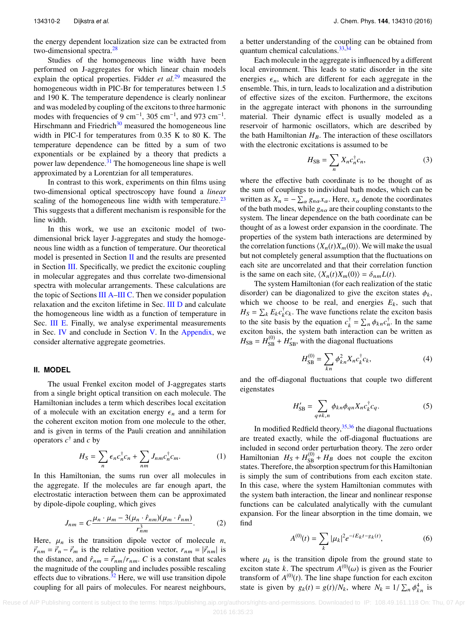the energy dependent localization size can be extracted from two-dimensional spectra.[28](#page-9-6)

Studies of the homogeneous line width have been performed on J-aggregates for which linear chain models explain the optical properties. Fidder *et al.*[29](#page-9-7) measured the homogeneous width in PIC-Br for temperatures between 1.5 and 190 K. The temperature dependence is clearly nonlinear and was modeled by coupling of the excitons to three harmonic modes with frequencies of 9 cm<sup>-1</sup>, 305 cm<sup>-1</sup>, and 973 cm<sup>-1</sup>. Hirschmann and Friedrich $30$  measured the homogeneous line width in PIC-I for temperatures from 0.35 K to 80 K. The temperature dependence can be fitted by a sum of two exponentials or be explained by a theory that predicts a power law dependence.<sup>[31](#page-9-9)</sup> The homogeneous line shape is well approximated by a Lorentzian for all temperatures.

In contrast to this work, experiments on thin films using two-dimensional optical spectroscopy have found a *linear* scaling of the homogeneous line width with temperature. $^{23}$  $^{23}$  $^{23}$ This suggests that a different mechanism is responsible for the line width.

In this work, we use an excitonic model of twodimensional brick layer J-aggregates and study the homogeneous line width as a function of temperature. Our theoretical model is presented in Section  $\Pi$  and the results are presented in Section [III.](#page-2-0) Specifically, we predict the excitonic coupling in molecular aggregates and thus correlate two-dimensional spectra with molecular arrangements. These calculations are the topic of Sections [III A–](#page-2-1)[III C.](#page-4-0) Then we consider population relaxation and the exciton lifetime in Sec. [III D](#page-4-1) and calculate the homogeneous line width as a function of temperature in Sec. [III E.](#page-5-0) Finally, we analyse experimental measurements in Sec. [IV](#page-6-0) and conclude in Section [V.](#page-7-0) In the [Appendix,](#page-7-1) we consider alternative aggregate geometries.

#### <span id="page-1-0"></span>**II. MODEL**

The usual Frenkel exciton model of J-aggregates starts from a single bright optical transition on each molecule. The Hamiltonian includes a term which describes local excitation of a molecule with an excitation energy  $\epsilon_n$  and a term for the coherent exciton motion from one molecule to the other, and is given in terms of the Pauli creation and annihilation operators *c* † and *c* by

$$
H_S = \sum_{n} \epsilon_n c_n^{\dagger} c_n + \sum_{nm} J_{nm} c_n^{\dagger} c_m.
$$
 (1)

In this Hamiltonian, the sums run over all molecules in the aggregate. If the molecules are far enough apart, the electrostatic interaction between them can be approximated by dipole-dipole coupling, which gives

$$
J_{nm} = C \frac{\mu_n \cdot \mu_m - 3(\mu_n \cdot \hat{r}_{nm})(\mu_m \cdot \hat{r}_{nm})}{r_{nm}^3}.
$$
 (2)

Here,  $\mu_n$  is the transition dipole vector of molecule *n*,  $\vec{r}_{nm} = \vec{r}_n - \vec{r}_m$  is the relative position vector,  $r_{nm} = |\vec{r}_{nm}|$  is the distance, and  $\hat{r}_{nm} = \vec{r}_{nm}/r_{nm}$ . *C* is a constant that scales the magnitude of the coupling and includes possible rescaling effects due to vibrations. $32$  Here, we will use transition dipole coupling for all pairs of molecules. For nearest neighbours, a better understanding of the coupling can be obtained from quantum chemical calculations.[33,](#page-9-11)[34](#page-9-12)

Each molecule in the aggregate is influenced by a different local environment. This leads to static disorder in the site energies  $\epsilon_n$ , which are different for each aggregate in the ensemble. This, in turn, leads to localization and a distribution of effective sizes of the exciton. Furthermore, the excitons in the aggregate interact with phonons in the surrounding material. Their dynamic effect is usually modeled as a reservoir of harmonic oscillators, which are described by the bath Hamiltonian  $H_B$ . The interaction of these oscillators with the electronic excitations is assumed to be

$$
H_{\rm SB} = \sum_{n} X_n c_n^{\dagger} c_n,\tag{3}
$$

where the effective bath coordinate is to be thought of as the sum of couplings to individual bath modes, which can be written as  $X_n = -\sum_{\alpha} g_{n\alpha} x_{\alpha}$ . Here,  $x_{\alpha}$  denote the coordinates of the bath modes while  $\alpha$  are their coupling constants to the of the bath modes, while  $g_{n\alpha}$  are their coupling constants to the system. The linear dependence on the bath coordinate can be thought of as a lowest order expansion in the coordinate. The properties of the system bath interactions are determined by the correlation functions  $\langle X_n(t)X_m(0)\rangle$ . We will make the usual but not completely general assumption that the fluctuations on each site are uncorrelated and that their correlation function is the same on each site,  $\langle X_n(t)X_m(0) \rangle = \delta_{nm}L(t)$ .

The system Hamiltonian (for each realization of the static disorder) can be diagonalized to give the exciton states  $\phi_k$ , which we choose to be real, and energies  $E_k$ , such that  $H_S = \sum_k E_k c_k^{\dagger}$  $\int_{k}^{T} c_k$ . The wave functions relate the exciton basis to the site basis by the equation  $c_k^{\dagger}$  $\vec{k} = \sum_{n} \phi_{kn} c_n^{\dagger}$ . In the same exciton basis, the system bath interaction can be written as  $H_{\text{SB}} = H_{\text{SB}}^{(0)} + H_{\text{SB}}'$ , with the diagonal fluctuations

$$
H_{\rm SB}^{(0)} = \sum_{kn} \phi_{kn}^2 X_n c_k^{\dagger} c_k, \tag{4}
$$

and the off-diagonal fluctuations that couple two different eigenstates

$$
H'_{\rm SB} = \sum_{q \neq k,n} \phi_{kn} \phi_{qn} X_n c_k^{\dagger} c_q.
$$
 (5)

In modified Redfield theory,  $35,36$  $35,36$  the diagonal fluctuations are treated exactly, while the off-diagonal fluctuations are included in second order perturbation theory. The zero order Hamiltonian  $H_S + H_{SB}^{(0)} + H_B$  does not couple the exciton states. Therefore, the absorption spectrum for this Hamiltonian is simply the sum of contributions from each exciton state. In this case, where the system Hamiltonian commutes with the system bath interaction, the linear and nonlinear response functions can be calculated analytically with the cumulant expansion. For the linear absorption in the time domain, we find

<span id="page-1-1"></span>
$$
A^{(0)}(t) = \sum_{k} |\mu_k|^2 e^{-iE_k t - g_k(t)}, \tag{6}
$$

where  $\mu_k$  is the transition dipole from the ground state to exciton state *k*. The spectrum  $A^{(0)}(\omega)$  is given as the Fourier<br>transform of  $A^{(0)}(t)$ . The line shape function for each exciton transform of  $A^{(0)}(t)$ . The line shape function for each exciton state is given by  $g_k(t) = g(t)/N_k$ , where  $N_k = 1/\sum_n \phi_{kn}^4$  is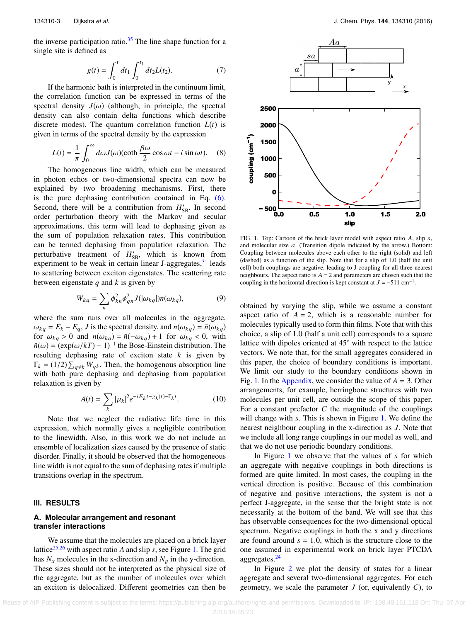the inverse participation ratio. $35$  The line shape function for a single site is defined as

$$
g(t) = \int_0^t dt_1 \int_0^{t_1} dt_2 L(t_2).
$$
 (7)

If the harmonic bath is interpreted in the continuum limit, the correlation function can be expressed in terms of the spectral density  $J(\omega)$  (although, in principle, the spectral density can also contain delta functions which describe discrete modes). The quantum correlation function  $L(t)$  is given in terms of the spectral density by the expression

$$
L(t) = \frac{1}{\pi} \int_0^\infty d\omega J(\omega) (\coth \frac{\beta \omega}{2} \cos \omega t - i \sin \omega t). \quad (8)
$$

The homogeneous line width, which can be measured in photon echos or two-dimensional spectra can now be explained by two broadening mechanisms. First, there is the pure dephasing contribution contained in Eq. [\(6\).](#page-1-1) Second, there will be a contribution from  $H'_{SB}$ . In second order perturbation theory with the Markov and secular approximations, this term will lead to dephasing given as the sum of population relaxation rates. This contribution can be termed dephasing from population relaxation. The perturbative treatment of  $H'_{SB}$ , which is known from experiment to be weak in certain linear J-aggregates, $31$  leads to scattering between exciton eigenstates. The scattering rate between eigenstate *q* and *k* is given by

$$
W_{kq} = \sum_{n} \phi_{kn}^2 \phi_{qn}^2 J(|\omega_{kq}|) n(\omega_{kq}), \qquad (9)
$$

where the sum runs over all molecules in the aggregate,  $\omega_{kq} = E_k - E_q$ , *J* is the spectral density, and  $n(\omega_{kq}) = \bar{n}(\omega_{kq})$ for  $\omega_{kq} > 0$  and  $n(\omega_{kq}) = \bar{n}(-\omega_{kq}) + 1$  for  $\omega_{kq} < 0$ , with  $\bar{n}(\omega) = (\exp(\omega/kT) - 1)^{-1}$  the Bose-Einstein distribution. The resulting dephasing rate of exciton state k is given by resulting dephasing rate of exciton state *k* is given by  $\Gamma_k = (1/2) \sum_{q \neq k} W_{qk}$ . Then, the homogenous absorption line<br>with both pure dephasing and dephasing from population with both pure dephasing and dephasing from population relaxation is given by

$$
A(t) = \sum_{k} |\mu_k|^2 e^{-iE_k t - g_k(t) - \Gamma_k t}.
$$
 (10)

Note that we neglect the radiative life time in this expression, which normally gives a negligible contribution to the linewidth. Also, in this work we do not include an ensemble of localization sizes caused by the presence of static disorder. Finally, it should be observed that the homogeneous line width is not equal to the sum of dephasing rates if multiple transitions overlap in the spectrum.

## <span id="page-2-0"></span>**III. RESULTS**

# <span id="page-2-1"></span>**A. Molecular arrangement and resonant transfer interactions**

We assume that the molecules are placed on a brick layer lattice<sup>[25](#page-9-3)[,26](#page-9-4)</sup> with aspect ratio *A* and slip *s*, see Figure [1.](#page-2-2) The grid has  $N_x$  molecules in the x-direction and  $N_y$  in the y-direction. These sizes should not be interpreted as the physical size of the aggregate, but as the number of molecules over which an exciton is delocalized. Different geometries can then be

<span id="page-2-2"></span>

<span id="page-2-3"></span>FIG. 1. Top: Cartoon of the brick layer model with aspect ratio A, slip s, and molecular size  $a$ . (Transition dipole indicated by the arrow.) Bottom: Coupling between molecules above each other to the right (solid) and left (dashed) as a function of the slip. Note that for a slip of 1.0 (half the unit cell) both couplings are negative, leading to J-coupling for all three nearest neighbours. The aspect ratio is  $A = 2$  and parameters are chosen such that the coupling in the horizontal direction is kept constant at  $J = -511$  cm<sup>-1</sup>.

obtained by varying the slip, while we assume a constant aspect ratio of  $A = 2$ , which is a reasonable number for molecules typically used to form thin films. Note that with this choice, a slip of 1.0 (half a unit cell) corresponds to a square lattice with dipoles oriented at 45◦ with respect to the lattice vectors. We note that, for the small aggregates considered in this paper, the choice of boundary conditions is important. We limit our study to the boundary conditions shown in Fig. [1.](#page-2-2) In the [Appendix,](#page-7-1) we consider the value of  $A = 3$ . Other arrangements, for example, herringbone structures with two molecules per unit cell, are outside the scope of this paper. For a constant prefactor *C* the magnitude of the couplings will change with *s*. This is shown in Figure [1.](#page-2-2) We define the nearest neighbour coupling in the x-direction as *J*. Note that we include all long range couplings in our model as well, and that we do not use periodic boundary conditions.

In Figure [1](#page-2-2) we observe that the values of *s* for which an aggregate with negative couplings in both directions is formed are quite limited. In most cases, the coupling in the vertical direction is positive. Because of this combination of negative and positive interactions, the system is not a perfect J-aggregate, in the sense that the bright state is not necessarily at the bottom of the band. We will see that this has observable consequences for the two-dimensional optical spectrum. Negative couplings in both the x and y directions are found around  $s = 1.0$ , which is the structure close to the one assumed in experimental work on brick layer PTCDA aggregates.[24](#page-9-2)

In Figure [2](#page-3-0) we plot the density of states for a linear aggregate and several two-dimensional aggregates. For each geometry, we scale the parameter *J* (or, equivalently *C*), to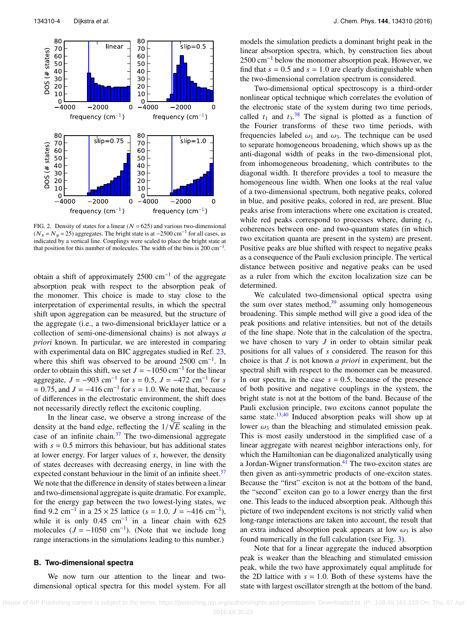<span id="page-3-0"></span>

FIG. 2. Density of states for a linear  $(N = 625)$  and various two-dimensional  $(N_x = N_y = 25)$  aggregates. The bright state is at −2500 cm<sup>-1</sup> for all cases, as indicated by a vertical line. Couplings were scaled to place the bright state at that position for this number of molecules. The width of the bins is 200 cm−<sup>1</sup> .

obtain a shift of approximately 2500 cm<sup>−</sup><sup>1</sup> of the aggregate absorption peak with respect to the absorption peak of the monomer. This choice is made to stay close to the interpretation of experimental results, in which the spectral shift upon aggregation can be measured, but the structure of the aggregate (i.e., a two-dimensional bricklayer lattice or a collection of semi-one-dimensional chains) is not always *a priori* known. In particular, we are interested in comparing with experimental data on BIC aggregates studied in Ref. [23,](#page-9-1) where this shift was observed to be around 2500 cm<sup>-1</sup>. In order to obtain this shift, we set  $J = -1050$  cm<sup>-1</sup> for the linear aggregate,  $J = -903$  cm<sup>-1</sup> for  $s = 0.5$ ,  $J = -472$  cm<sup>-1</sup> for  $s = 0.75$  and  $J = -416$  cm<sup>-1</sup> for  $s = 1.0$ . We note that because  $= 0.75$ , and  $J = -416$  cm<sup>-1</sup> for  $s = 1.0$ . We note that, because of differences in the electrostatic environment, the shift does of differences in the electrostatic environment, the shift does not necessarily directly reflect the excitonic coupling.

In the linear case, we observe a strong increase of the density at the band edge, reflecting the  $1/\sqrt{E}$  scaling in the case of an infinite chain  $3^7$ . The two-dimensional aggregate case of an infinite chain. $37$  The two-dimensional aggregate with  $s = 0.5$  mirrors this behaviour, but has additional states at lower energy. For larger values of *s*, however, the density of states decreases with decreasing energy, in line with the expected constant behaviour in the limit of an infinite sheet. $37$ We note that the difference in density of states between a linear and two-dimensional aggregate is quite dramatic. For example, for the energy gap between the two lowest-lying states, we find 9.2 cm<sup>-1</sup> in a 25 × 25 lattice ( $s = 1.0$ ,  $J = -416$  cm<sup>-1</sup>),<br>while it is only 0.45 cm<sup>-1</sup> in a linear chain with 625 while it is only  $0.45 \text{ cm}^{-1}$  in a linear chain with 625 molecules  $(J = -1050 \text{ cm}^{-1})$ . (Note that we include long range interactions in the simulations leading to this number.)

#### **B. Two-dimensional spectra**

We now turn our attention to the linear and twodimensional optical spectra for this model system. For all

models the simulation predicts a dominant bright peak in the linear absorption spectra, which, by construction lies about 2500 cm−<sup>1</sup> below the monomer absorption peak. However, we find that  $s = 0.5$  and  $s = 1.0$  are clearly distinguishable when the two-dimensional correlation spectrum is considered.

Two-dimensional optical spectroscopy is a third-order nonlinear optical technique which correlates the evolution of the electronic state of the system during two time periods, called  $t_1$  and  $t_3$ .<sup>[38](#page-9-16)</sup> The signal is plotted as a function of the Fourier transforms of these two time periods, with frequencies labeled  $\omega_1$  and  $\omega_3$ . The technique can be used to separate homogeneous broadening, which shows up as the anti-diagonal width of peaks in the two-dimensional plot, from inhomogeneous broadening, which contributes to the diagonal width. It therefore provides a tool to measure the homogeneous line width. When one looks at the real value of a two-dimensional spectrum, both negative peaks, colored in blue, and positive peaks, colored in red, are present. Blue peaks arise from interactions where one excitation is created, while red peaks correspond to processes where, during *t*3, coherences between one- and two-quantum states (in which two excitation quanta are present in the system) are present. Positive peaks are blue shifted with respect to negative peaks as a consequence of the Pauli exclusion principle. The vertical distance between positive and negative peaks can be used as a ruler from which the exciton localization size can be determined.

We calculated two-dimensional optical spectra using the sum over states method,  $39$  assuming only homogeneous broadening. This simple method will give a good idea of the peak positions and relative intensities, but not of the details of the line shape. Note that in the calculation of the spectra, we have chosen to vary *J* in order to obtain similar peak positions for all values of *s* considered. The reason for this choice is that *J* is not known *a priori* in experiment, but the spectral shift with respect to the monomer can be measured. In our spectra, in the case  $s = 0.5$ , because of the presence of both positive and negative couplings in the system, the bright state is not at the bottom of the band. Because of the Pauli exclusion principle, two excitons cannot populate the same state. $13,40$  $13,40$  Induced absorption peaks will show up at lower  $\omega_3$  than the bleaching and stimulated emission peak. This is most easily understood in the simplified case of a linear aggregate with nearest neighbor interactions only, for which the Hamiltonian can be diagonalized analytically using a Jordan-Wigner transformation.<sup>[41](#page-9-19)</sup> The two-exciton states are then given as anti-symmetric products of one-exciton states. Because the "first" exciton is not at the bottom of the band, the "second" exciton can go to a lower energy than the first one. This leads to the induced absorption peak. Although this picture of two independent excitons is not strictly valid when long-range interactions are taken into account, the result that an extra induced absorption peak appears at low  $\omega_3$  is also found numerically in the full calculation (see Fig. [3\)](#page-4-2).

Note that for a linear aggregate the induced absorption peak is weaker than the bleaching and stimulated emission peak, while the two have approximately equal amplitude for the 2D lattice with *<sup>s</sup>* <sup>=</sup> <sup>1</sup>.0. Both of these systems have the state with largest oscillator strength at the bottom of the band.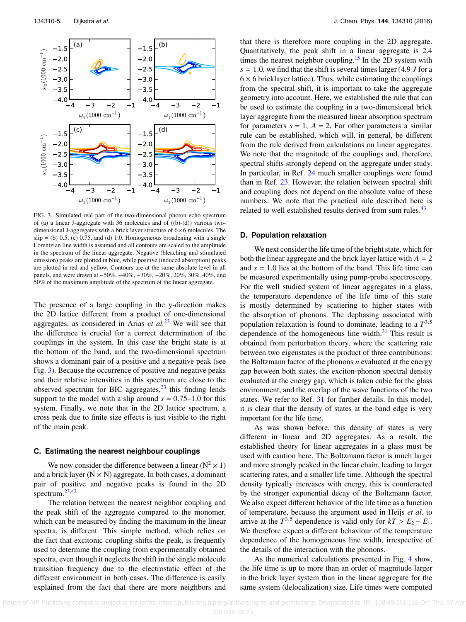<span id="page-4-2"></span>

FIG. 3. Simulated real part of the two-dimensional photon echo spectrum of (a) a linear J-aggregate with 36 molecules and of ((b)-(d)) various twodimensional J-aggregates with a brick layer structure of 6×6 molecules. The slip = (b) 0.5, (c) 0.75, and (d) 1.0. Homogeneous broadening with a single Lorentzian line width is assumed and all contours are scaled to the amplitude in the spectrum of the linear aggregate. Negative (bleaching and stimulated emission) peaks are plotted in blue, while positive (induced absorption) peaks are plotted in red and yellow. Contours are at the same absolute level in all panels, and were drawn at −50%, −40%, −30%, −20%, 20%, 30%, 40%, and 50% of the maximum amplitude of the spectrum of the linear aggregate.

The presence of a large coupling in the y-direction makes the 2D lattice different from a product of one-dimensional aggregates, as considered in Arias *et al.*[23](#page-9-1) We will see that the difference is crucial for a correct determination of the couplings in the system. In this case the bright state is at the bottom of the band, and the two-dimensional spectrum shows a dominant pair of a positive and a negative peak (see Fig. [3\)](#page-4-2). Because the occurrence of positive and negative peaks and their relative intensities in this spectrum are close to the observed spectrum for BIC aggregates, $^{23}$  $^{23}$  $^{23}$  this finding lends support to the model with a slip around  $s = 0.75{\text -}1.0$  for this system. Finally, we note that in the 2D lattice spectrum, a cross peak due to finite size effects is just visible to the right of the main peak.

#### <span id="page-4-0"></span>**C. Estimating the nearest neighbour couplings**

We now consider the difference between a linear  $(N^2 \times 1)$ and a brick layer  $(N \times N)$  aggregate. In both cases, a dominant pair of positive and negative peaks is found in the 2D spectrum.<sup>[23,](#page-9-1)[42](#page-9-20)</sup>

The relation between the nearest neighbor coupling and the peak shift of the aggregate compared to the monomer, which can be measured by finding the maximum in the linear spectra, is different. This simple method, which relies on the fact that excitonic coupling shifts the peak, is frequently used to determine the coupling from experimentally obtained spectra, even though it neglects the shift in the single molecule transition frequency due to the electrostatic effect of the different environment in both cases. The difference is easily explained from the fact that there are more neighbors and

that there is therefore more coupling in the 2D aggregate. Quantitatively, the peak shift in a linear aggregate is 2.4 times the nearest neighbor coupling.<sup>[15](#page-8-10)</sup> In the 2D system with  $s = 1.0$ , we find that the shift is several times larger (4.9 *J* for a  $6 \times 6$  bricklayer lattice). Thus, while estimating the couplings from the spectral shift, it is important to take the aggregate geometry into account. Here, we established the rule that can be used to estimate the coupling in a two-dimensional brick layer aggregate from the measured linear absorption spectrum for parameters  $s = 1$ ,  $A = 2$ . For other parameters a similar rule can be established, which will, in general, be different from the rule derived from calculations on linear aggregates. We note that the magnitude of the couplings and, therefore, spectral shifts strongly depend on the aggregate under study. In particular, in Ref. [24](#page-9-2) much smaller couplings were found than in Ref. [23.](#page-9-1) However, the relation between spectral shift and coupling does not depend on the absolute value of these numbers. We note that the practical rule described here is related to well established results derived from sum rules.<sup>[43](#page-9-21)</sup>

#### <span id="page-4-1"></span>**D. Population relaxation**

We next consider the life time of the bright state, which for both the linear aggregate and the brick layer lattice with  $A = 2$ and *<sup>s</sup>* <sup>=</sup> <sup>1</sup>.0 lies at the bottom of the band. This life time can be measured experimentally using pump-probe spectroscopy. For the well studied system of linear aggregates in a glass, the temperature dependence of the life time of this state is mostly determined by scattering to higher states with the absorption of phonons. The dephasing associated with population relaxation is found to dominate, leading to a *T* 3.5 dependence of the homogeneous line width. $31$  This result is obtained from perturbation theory, where the scattering rate between two eigenstates is the product of three contributions: the Boltzmann factor of the phonons *n* evaluated at the energy gap between both states, the exciton-phonon spectral density evaluated at the energy gap, which is taken cubic for the glass environment, and the overlap of the wave functions of the two states. We refer to Ref. [31](#page-9-9) for further details. In this model, it is clear that the density of states at the band edge is very important for the life time.

As was shown before, this density of states is very different in linear and 2D aggregates. As a result, the established theory for linear aggregates in a glass must be used with caution here. The Boltzmann factor is much larger and more strongly peaked in the linear chain, leading to larger scattering rates, and a smaller life time. Although the spectral density typically increases with energy, this is counteracted by the stronger exponential decay of the Boltzmann factor. We also expect different behavior of the life time as a function of temperature, because the argument used in Heijs *et al.* to arrive at the  $T^{3.5}$  dependence is valid only for  $kT > E_2 - E_1$ .<br>We therefore expect a different behaviour of the temperature We therefore expect a different behaviour of the temperature dependence of the homogeneous line width, irrespective of the details of the interaction with the phonons.

As the numerical calculations presented in Fig. [4](#page-5-1) show, the life time is up to more than an order of magnitude larger in the brick layer system than in the linear aggregate for the same system (delocalization) size. Life times were computed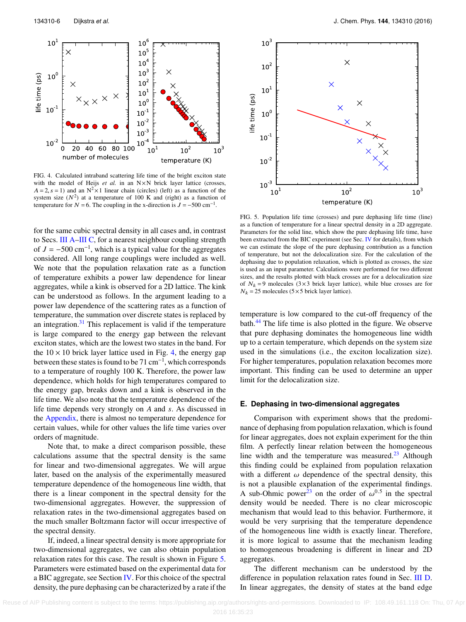<span id="page-5-1"></span>

FIG. 4. Calculated intraband scattering life time of the bright exciton state with the model of Heijs et al. in an N×N brick layer lattice (crosses,  $A = 2$ ,  $s = 1$ ) and an  $N^2 \times 1$  linear chain (circles) (left) as a function of the system size  $(N^2)$  at a temperature of 100 K and (right) as a function of temperature for  $N = 6$ . The coupling in the x-direction is  $J = -500$  cm<sup>-1</sup>.

for the same cubic spectral density in all cases and, in contrast to Secs. [III A–](#page-2-1)[III C,](#page-4-0) for a nearest neighbour coupling strength of  $J = -500$  cm<sup>-1</sup>, which is a typical value for the aggregates considered. All long range couplings were included as well. We note that the population relaxation rate as a function of temperature exhibits a power law dependence for linear aggregates, while a kink is observed for a 2D lattice. The kink can be understood as follows. In the argument leading to a power law dependence of the scattering rates as a function of temperature, the summation over discrete states is replaced by an integration. $31$  This replacement is valid if the temperature is large compared to the energy gap between the relevant exciton states, which are the lowest two states in the band. For the  $10 \times 10$  brick layer lattice used in Fig. [4,](#page-5-1) the energy gap between these states is found to be  $71 \text{ cm}^{-1}$ , which corresponds to a temperature of roughly 100 K. Therefore, the power law dependence, which holds for high temperatures compared to the energy gap, breaks down and a kink is observed in the life time. We also note that the temperature dependence of the life time depends very strongly on *A* and *s*. As discussed in the [Appendix,](#page-7-1) there is almost no temperature dependence for certain values, while for other values the life time varies over orders of magnitude.

Note that, to make a direct comparison possible, these calculations assume that the spectral density is the same for linear and two-dimensional aggregates. We will argue later, based on the analysis of the experimentally measured temperature dependence of the homogeneous line width, that there is a linear component in the spectral density for the two-dimensional aggregates. However, the suppression of relaxation rates in the two-dimensional aggregates based on the much smaller Boltzmann factor will occur irrespective of the spectral density.

If, indeed, a linear spectral density is more appropriate for two-dimensional aggregates, we can also obtain population relaxation rates for this case. The result is shown in Figure [5.](#page-5-2) Parameters were estimated based on the experimental data for a BIC aggregate, see Section [IV.](#page-6-0) For this choice of the spectral density, the pure dephasing can be characterized by a rate if the

<span id="page-5-2"></span>

FIG. 5. Population life time (crosses) and pure dephasing life time (line) as a function of temperature for a linear spectral density in a 2D aggregate. Parameters for the solid line, which show the pure dephasing life time, have been extracted from the BIC experiment (see Sec. [IV](#page-6-0) for details), from which we can estimate the slope of the pure dephasing contribution as a function of temperature, but not the delocalization size. For the calculation of the dephasing due to population relaxation, which is plotted as crosses, the size is used as an input parameter. Calculations were performed for two different sizes, and the results plotted with black crosses are for a delocalization size of  $N_k = 9$  molecules (3×3 brick layer lattice), while blue crosses are for  $N_k = 25$  molecules (5×5 brick layer lattice).

temperature is low compared to the cut-off frequency of the bath.[44](#page-9-22) The life time is also plotted in the figure. We observe that pure dephasing dominates the homogeneous line width up to a certain temperature, which depends on the system size used in the simulations (i.e., the exciton localization size). For higher temperatures, population relaxation becomes more important. This finding can be used to determine an upper limit for the delocalization size.

## <span id="page-5-0"></span>**E. Dephasing in two-dimensional aggregates**

Comparison with experiment shows that the predominance of dephasing from population relaxation, which is found for linear aggregates, does not explain experiment for the thin film. A perfectly linear relation between the homogeneous line width and the temperature was measured. $23$  Although this finding could be explained from population relaxation with a different  $\omega$  dependence of the spectral density, this is not a plausible explanation of the experimental findings. A sub-Ohmic power<sup>[23](#page-9-1)</sup> on the order of  $\omega^{0.5}$  in the spectral<br>density would be needed. There is no clear microscopic density would be needed. There is no clear microscopic mechanism that would lead to this behavior. Furthermore, it would be very surprising that the temperature dependence of the homogeneous line width is exactly linear. Therefore, it is more logical to assume that the mechanism leading to homogeneous broadening is different in linear and 2D aggregates.

The different mechanism can be understood by the difference in population relaxation rates found in Sec. [III D.](#page-4-1) In linear aggregates, the density of states at the band edge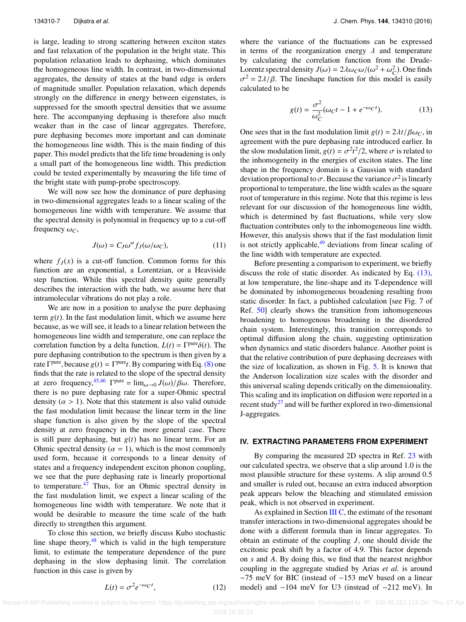is large, leading to strong scattering between exciton states and fast relaxation of the population in the bright state. This population relaxation leads to dephasing, which dominates the homogeneous line width. In contrast, in two-dimensional aggregates, the density of states at the band edge is orders of magnitude smaller. Population relaxation, which depends strongly on the difference in energy between eigenstates, is suppressed for the smooth spectral densities that we assume here. The accompanying dephasing is therefore also much weaker than in the case of linear aggregates. Therefore, pure dephasing becomes more important and can dominate the homogeneous line width. This is the main finding of this paper. This model predicts that the life time broadening is only a small part of the homogeneous line width. This prediction could be tested experimentally by measuring the life time of the bright state with pump-probe spectroscopy.

We will now see how the dominance of pure dephasing in two-dimensional aggregates leads to a linear scaling of the homogeneous line width with temperature. We assume that the spectral density is polynomial in frequency up to a cut-off frequency  $\omega_C$ ,

$$
J(\omega) = C_J \omega^{\alpha} f_J(\omega/\omega_C), \qquad (11)
$$

where  $f_J(x)$  is a cut-off function. Common forms for this function are an exponential, a Lorentzian, or a Heaviside step function. While this spectral density quite generally describes the interaction with the bath, we assume here that intramolecular vibrations do not play a role.

We are now in a position to analyse the pure dephasing term  $g(t)$ . In the fast modulation limit, which we assume here because, as we will see, it leads to a linear relation between the homogeneous line width and temperature, one can replace the correlation function by a delta function,  $L(t) = \Gamma^{\text{pure}} \delta(t)$ . The pure dephasing contribution to the spectrum is then given by a rate Γ<sup>ρωτe</sup>, because  $g(t) = \Gamma^{\text{pure}}t$ . By comparing with Eq. [\(8\)](#page-2-3) one<br>finds that the rate is related to the slope of the spectral density finds that the rate is related to the slope of the spectral density at zero frequency,<sup>[45,](#page-9-23)[46](#page-9-24)</sup>  $\Gamma^{\text{pure}} = \lim_{\omega \to 0} J(\omega)/\beta \omega$ . Therefore, there is no pure dephasing rate for a super-Ohmic spectral density ( $\alpha > 1$ ). Note that this statement is also valid outside the fast modulation limit because the linear term in the line shape function is also given by the slope of the spectral density at zero frequency in the more general case. There is still pure dephasing, but  $g(t)$  has no linear term. For an Ohmic spectral density ( $\alpha = 1$ ), which is the most commonly used form, because it corresponds to a linear density of states and a frequency independent exciton phonon coupling, we see that the pure dephasing rate is linearly proportional to temperature.[47](#page-9-25) Thus, for an Ohmic spectral density in the fast modulation limit, we expect a linear scaling of the homogeneous line width with temperature. We note that it would be desirable to measure the time scale of the bath directly to strengthen this argument.

To close this section, we briefly discuss Kubo stochastic line shape theory, $48$  which is valid in the high temperature limit, to estimate the temperature dependence of the pure dephasing in the slow dephasing limit. The correlation function in this case is given by

where the variance of the fluctuations can be expressed in terms of the reorganization energy  $\lambda$  and temperature by calculating the correlation function from the Drude-Lorentz spectral density  $J(\omega) = 2\lambda \omega_C \omega/(\omega^2 + \omega_C^2)$ . One finds  $\sigma^2 = 2\lambda/\beta$ . The lineshape function for this model is easily calculated to be  $\sigma^2 = 2\lambda/\beta$ . The lineshape function for this model is easily

<span id="page-6-1"></span>
$$
g(t) = \frac{\sigma^2}{\omega_C^2} (\omega_C t - 1 + e^{-\omega_C t}).
$$
\n(13)

One sees that in the fast modulation limit  $g(t) = 2\lambda t/\beta \omega_C$ , in agreement with the pure dephasing rate introduced earlier. In the slow modulation limit,  $g(t) = \sigma^2 t^2/2$ , where  $\sigma$  is related to the inhomogeneity in the energies of exciton states. The line the inhomogeneity in the energies of exciton states. The line shape in the frequency domain is a Gaussian with standard deviation proportional to  $\sigma$ . Because the variance  $\sigma^2$  is linearly<br>proportional to temperature, the line width scales as the square proportional to temperature, the line width scales as the square root of temperature in this regime. Note that this regime is less relevant for our discussion of the homogeneous line width, which is determined by fast fluctuations, while very slow fluctuation contributes only to the inhomogeneous line width. However, this analysis shows that if the fast modulation limit is not strictly applicable, $49$  deviations from linear scaling of the line width with temperature are expected.

Before presenting a comparison to experiment, we briefly discuss the role of static disorder. As indicated by Eq. [\(13\),](#page-6-1) at low temperature, the line-shape and its T-dependence will be dominated by inhomogeneous broadening resulting from static disorder. In fact, a published calculation [see Fig. 7 of Ref. [50\]](#page-9-28) clearly shows the transition from inhomogeneous broadening to homogenous broadening in the disordered chain system. Interestingly, this transition corresponds to optimal diffusion along the chain, suggesting optimization when dynamics and static disorders balance. Another point is that the relative contribution of pure dephasing decreases with the size of localization, as shown in Fig. [5.](#page-5-2) It is known that the Anderson localization size scales with the disorder and this universal scaling depends critically on the dimensionality. This scaling and its implication on diffusion were reported in a recent study<sup>[27](#page-9-5)</sup> and will be further explored in two-dimensional J-aggregates.

## <span id="page-6-0"></span>**IV. EXTRACTING PARAMETERS FROM EXPERIMENT**

By comparing the measured 2D spectra in Ref. [23](#page-9-1) with our calculated spectra, we observe that a slip around 1.0 is the most plausible structure for these systems. A slip around 0.5 and smaller is ruled out, because an extra induced absorption peak appears below the bleaching and stimulated emission peak, which is not observed in experiment.

As explained in Section [III C,](#page-4-0) the estimate of the resonant transfer interactions in two-dimensional aggregates should be done with a different formula than in linear aggregates. To obtain an estimate of the coupling *J*, one should divide the excitonic peak shift by a factor of 4.9. This factor depends on *s* and *A*. By doing this, we find that the nearest neighbor coupling in the aggregate studied by Arias *et al.* is around −75 meV for BIC (instead of −153 meV based on a linear model) and −104 meV for U3 (instead of −212 meV). In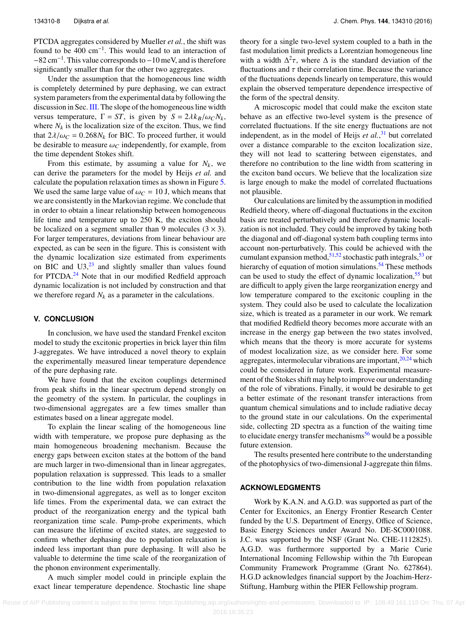PTCDA aggregates considered by Mueller *et al.*, the shift was found to be 400 cm−<sup>1</sup> . This would lead to an interaction of −82 cm−<sup>1</sup> . This value corresponds to −10 meV, and is therefore significantly smaller than for the other two aggregates.

Under the assumption that the homogeneous line width is completely determined by pure dephasing, we can extract system parameters from the experimental data by following the discussion in Sec. [III.](#page-2-0) The slope of the homogeneous line width versus temperature,  $\Gamma = ST$ , is given by  $S = 2\lambda k_B/\omega_C N_k$ , where  $N_k$  is the localization size of the exciton. Thus, we find that  $2\lambda/\omega_C = 0.268N_k$  for BIC. To proceed further, it would be desirable to measure  $\omega_C$  independently, for example, from the time dependent Stokes shift.

From this estimate, by assuming a value for  $N_k$ , we can derive the parameters for the model by Heijs *et al.* and calculate the population relaxation times as shown in Figure [5.](#page-5-2) We used the same large value of  $\omega_C = 10$  J, which means that we are consistently in the Markovian regime. We conclude that in order to obtain a linear relationship between homogeneous life time and temperature up to 250 K, the exciton should be localized on a segment smaller than 9 molecules  $(3 \times 3)$ . For larger temperatures, deviations from linear behaviour are expected, as can be seen in the figure. This is consistent with the dynamic localization size estimated from experiments on BIC and  $U3$ ,<sup>[23](#page-9-1)</sup> and slightly smaller than values found for PTCDA.<sup>[24](#page-9-2)</sup> Note that in our modified Redfield approach dynamic localization is not included by construction and that we therefore regard  $N_k$  as a parameter in the calculations.

#### <span id="page-7-0"></span>**V. CONCLUSION**

In conclusion, we have used the standard Frenkel exciton model to study the excitonic properties in brick layer thin film J-aggregates. We have introduced a novel theory to explain the experimentally measured linear temperature dependence of the pure dephasing rate.

We have found that the exciton couplings determined from peak shifts in the linear spectrum depend strongly on the geometry of the system. In particular, the couplings in two-dimensional aggregates are a few times smaller than estimates based on a linear aggregate model.

To explain the linear scaling of the homogeneous line width with temperature, we propose pure dephasing as the main homogeneous broadening mechanism. Because the energy gaps between exciton states at the bottom of the band are much larger in two-dimensional than in linear aggregates, population relaxation is suppressed. This leads to a smaller contribution to the line width from population relaxation in two-dimensional aggregates, as well as to longer exciton life times. From the experimental data, we can extract the product of the reorganization energy and the typical bath reorganization time scale. Pump-probe experiments, which can measure the lifetime of excited states, are suggested to confirm whether dephasing due to population relaxation is indeed less important than pure dephasing. It will also be valuable to determine the time scale of the reorganization of the phonon environment experimentally.

A much simpler model could in principle explain the exact linear temperature dependence. Stochastic line shape

theory for a single two-level system coupled to a bath in the fast modulation limit predicts a Lorentzian homogeneous line with a width  $\Delta^2 \tau$ , where  $\Delta$  is the standard deviation of the fluctuations and  $\tau$  their correlation time. Because the variance fluctuations and  $\tau$  their correlation time. Because the variance of the fluctuations depends linearly on temperature, this would explain the observed temperature dependence irrespective of the form of the spectral density.

A microscopic model that could make the exciton state behave as an effective two-level system is the presence of correlated fluctuations. If the site energy fluctuations are not independent, as in the model of Heijs *et al.*, [31](#page-9-9) but correlated over a distance comparable to the exciton localization size, they will not lead to scattering between eigenstates, and therefore no contribution to the line width from scattering in the exciton band occurs. We believe that the localization size is large enough to make the model of correlated fluctuations not plausible.

Our calculations are limited by the assumption in modified Redfield theory, where off-diagonal fluctuations in the exciton basis are treated perturbatively and therefore dynamic localization is not included. They could be improved by taking both the diagonal and off-diagonal system bath coupling terms into account non-perturbatively. This could be achieved with the cumulant expansion method,  $51,52$  $51,52$  stochastic path integrals,  $53$  or hierarchy of equation of motion simulations.<sup>[54](#page-9-32)</sup> These methods can be used to study the effect of dynamic localization,<sup>[55](#page-9-33)</sup> but are difficult to apply given the large reorganization energy and low temperature compared to the excitonic coupling in the system. They could also be used to calculate the localization size, which is treated as a parameter in our work. We remark that modified Redfield theory becomes more accurate with an increase in the energy gap between the two states involved, which means that the theory is more accurate for systems of modest localization size, as we consider here. For some aggregates, intermolecular vibrations are important, $20,24$  $20,24$  which could be considered in future work. Experimental measurement of the Stokes shift may help to improve our understanding of the role of vibrations. Finally, it would be desirable to get a better estimate of the resonant transfer interactions from quantum chemical simulations and to include radiative decay to the ground state in our calculations. On the experimental side, collecting 2D spectra as a function of the waiting time to elucidate energy transfer mechanisms<sup>[56](#page-9-35)</sup> would be a possible future extension.

The results presented here contribute to the understanding of the photophysics of two-dimensional J-aggregate thin films.

# **ACKNOWLEDGMENTS**

<span id="page-7-1"></span>Work by K.A.N. and A.G.D. was supported as part of the Center for Excitonics, an Energy Frontier Research Center funded by the U.S. Department of Energy, Office of Science, Basic Energy Sciences under Award No. DE-SC0001088. J.C. was supported by the NSF (Grant No. CHE-1112825). A.G.D. was furthermore supported by a Marie Curie International Incoming Fellowship within the 7th European Community Framework Programme (Grant No. 627864). H.G.D acknowledges financial support by the Joachim-Herz-Stiftung, Hamburg within the PIER Fellowship program.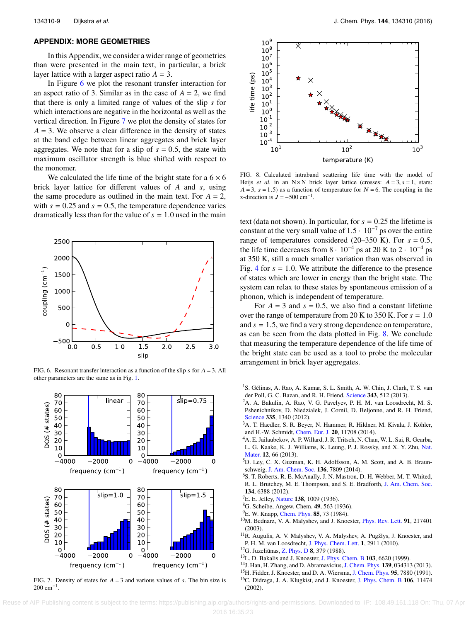## **APPENDIX: MORE GEOMETRIES**

In this Appendix, we consider a wider range of geometries than were presented in the main text, in particular, a brick layer lattice with a larger aspect ratio  $A = 3$ .

In Figure [6](#page-8-12) we plot the resonant transfer interaction for an aspect ratio of 3. Similar as in the case of  $A = 2$ , we find that there is only a limited range of values of the slip *s* for which interactions are negative in the horizontal as well as the vertical direction. In Figure [7](#page-8-13) we plot the density of states for  $A = 3$ . We observe a clear difference in the density of states at the band edge between linear aggregates and brick layer aggregates. We note that for a slip of  $s = 0.5$ , the state with maximum oscillator strength is blue shifted with respect to the monomer.

We calculated the life time of the bright state for a  $6 \times 6$ brick layer lattice for different values of *A* and *s*, using the same procedure as outlined in the main text. For  $A = 2$ , with  $s = 0.25$  and  $s = 0.5$ , the temperature dependence varies dramatically less than for the value of *<sup>s</sup>* <sup>=</sup> <sup>1</sup>.0 used in the main

<span id="page-8-12"></span>

FIG. 6. Resonant transfer interaction as a function of the slip s for  $A = 3$ . All other parameters are the same as in Fig. [1.](#page-2-2)

<span id="page-8-13"></span>

FIG. 7. Density of states for  $A = 3$  and various values of s. The bin size is 200 cm<sup>-1</sup>.

<span id="page-8-14"></span>

FIG. 8. Calculated intraband scattering life time with the model of Heijs *et al.* in an  $N \times N$  brick layer lattice (crosses:  $A = 3$ ,  $s = 1$ , stars:  $A = 3$ ,  $s = 1.5$ ) as a function of temperature for  $N = 6$ . The coupling in the x-direction is  $J = -500$  cm<sup>-1</sup>.

text (data not shown). In particular, for  $s = 0.25$  the lifetime is constant at the very small value of  $1.5 \cdot 10^{-7}$  ps over the entire range of temperatures considered (20–350 K). For  $s = 0.5$ , the life time decreases from  $8 \cdot 10^{-4}$  ps at 20 K to  $2 \cdot 10^{-4}$  ps at 350 K, still a much smaller variation than was observed in Fig. [4](#page-5-1) for  $s = 1.0$ . We attribute the difference to the presence of states which are lower in energy than the bright state. The system can relax to these states by spontaneous emission of a phonon, which is independent of temperature.

For  $A = 3$  and  $s = 0.5$ , we also find a constant lifetime over the range of temperature from 20 K to 350 K. For *<sup>s</sup>* <sup>=</sup> <sup>1</sup>.<sup>0</sup> and *<sup>s</sup>* <sup>=</sup> <sup>1</sup>.5, we find a very strong dependence on temperature, as can be seen from the data plotted in Fig. [8.](#page-8-14) We conclude that measuring the temperature dependence of the life time of the bright state can be used as a tool to probe the molecular arrangement in brick layer aggregates.

- <span id="page-8-0"></span><sup>1</sup>S. Gélinas, A. Rao, A. Kumar, S. L. Smith, A. W. Chin, J. Clark, T. S. van der Poll, G. C. Bazan, and R. H. Friend, [Science](http://dx.doi.org/10.1126/science.1246249) 343, 512 (2013).
- <sup>2</sup>A. A. Bakulin, A. Rao, V. G. Pavelyev, P. H. M. van Loosdrecht, M. S. Pshenichnikov, D. Niedzialek, J. Cornil, D. Beljonne, and R. H. Friend, [Science](http://dx.doi.org/10.1126/science.1217745) 335, 1340 (2012).
- <sup>3</sup>A. T. Haedler, S. R. Beyer, N. Hammer, R. Hildner, M. Kivala, J. Köhler, and H.-W. Schmidt, [Chem. Eur. J.](http://dx.doi.org/10.1002/chem.201403667) 20, 11708 (2014).
- <sup>4</sup>A. E. Jailaubekov, A. P. Willard, J. R. Tritsch, N. Chan, W. L. Sai, R. Gearba, L. G. Kaake, K. J. Williams, K. Leung, P. J. Rossky, and X. Y. Zhu, [Nat.](http://dx.doi.org/10.1038/nmat3500) [Mater.](http://dx.doi.org/10.1038/nmat3500) 12, 66 (2013).
- <sup>5</sup>D. Ley, C. X. Guzman, K. H. Adolfsson, A. M. Scott, and A. B. Braunschweig, [J. Am. Chem. Soc.](http://dx.doi.org/10.1021/ja5015053) 136, 7809 (2014).
- <span id="page-8-1"></span><sup>6</sup>S. T. Roberts, R. E. McAnally, J. N. Mastron, D. H. Webber, M. T. Whited, R. L. Brutchey, M. E. Thompson, and S. E. Bradforth, [J. Am. Chem. Soc.](http://dx.doi.org/10.1021/ja300504t) 134, 6388 (2012).
- <span id="page-8-2"></span><sup>7</sup>E. E. Jelley, [Nature](http://dx.doi.org/10.1038/1381009a0) **138**, 1009 (1936).
- <span id="page-8-3"></span><sup>8</sup>G. Scheibe, Angew. Chem. 49, 563 (1936).
- <span id="page-8-4"></span><sup>9</sup>E. W. Knapp, [Chem. Phys.](http://dx.doi.org/10.1016/S0301-0104(84)85174-5) **85**, 73 (1984).
- <span id="page-8-5"></span><sup>10</sup>M. Bednarz, V. A. Malyshev, and J. Knoester, *[Phys. Rev. Lett.](http://dx.doi.org/10.1103/PhysRevLett.91.217401)* 91, 217401 (2003).
- <span id="page-8-6"></span><sup>11</sup>R. Augulis, A. V. Malyshev, V. A. Malyshev, A. Pugžlys, J. Knoester, and P. H. M. van Loosdrecht, [J. Phys. Chem. Lett.](http://dx.doi.org/10.1021/jz101003j) 1, 2911 (2010).
- <span id="page-8-7"></span><sup>12</sup>G. Juzeliūnas, [Z. Phys. D](http://dx.doi.org/10.1007/BF01437105) **8**, 379 (1988).
- <span id="page-8-8"></span><sup>13</sup>L. D. Bakalis and J. Knoester, [J. Phys. Chem. B](http://dx.doi.org/10.1021/jp990354g) 103, 6620 (1999).
- <span id="page-8-9"></span><sup>14</sup>J. Han, H. Zhang, and D. Abramavicius, [J. Chem. Phys.](http://dx.doi.org/10.1063/1.4812927) **139**, 034313 (2013).

<span id="page-8-11"></span><sup>16</sup>C. Didraga, J. A. Klugkist, and J. Knoester, [J. Phys. Chem. B](http://dx.doi.org/10.1021/jp026217s) **106**, 11474 (2002).

<span id="page-8-10"></span><sup>&</sup>lt;sup>15</sup>H. Fidder, J. Knoester, and D. A. Wiersma, [J. Chem. Phys.](http://dx.doi.org/10.1063/1.461317) **95**, 7880 (1991).